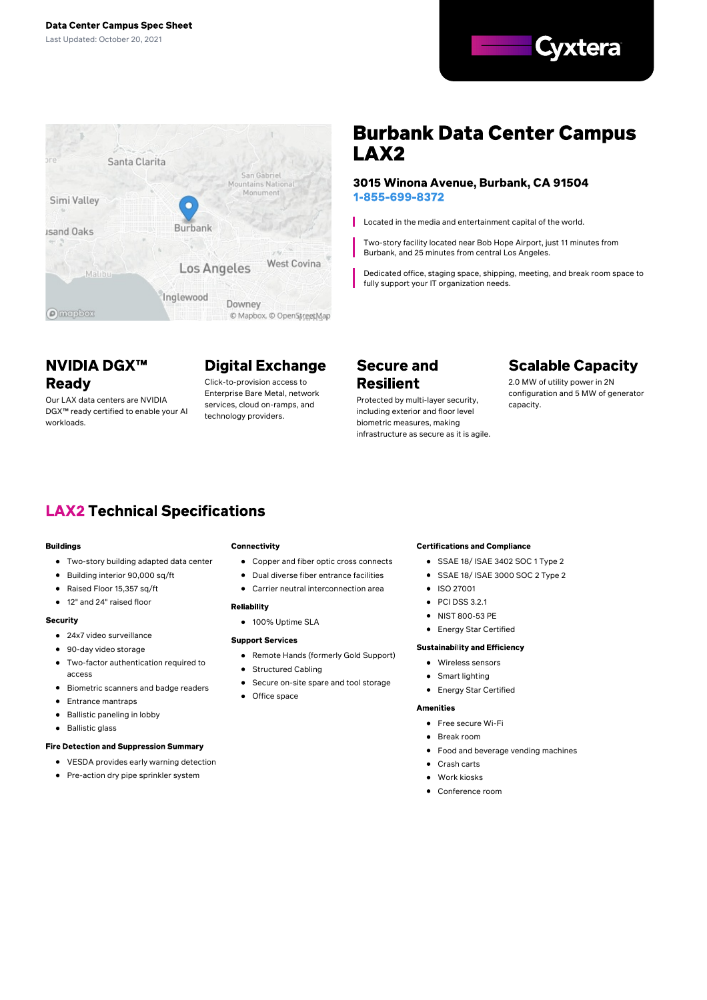



# **Burbank Data Center Campus** LAX<sub>2</sub>

#### 3015 Winona Avenue, Burbank, CA 91504 1-855-699-8372

Located in the media and entertainment capital of the world.

Two-story facility located near Bob Hope Airport, just 11 minutes from Burbank, and 25 minutes from central Los Angeles.

Dedicated office, staging space, shipping, meeting, and break room space to fully support your IT organization needs.

## **NVIDIA DGX™ Ready**

Our LAX data centers are NVIDIA DGX™ ready certified to enable your AI workloads.

# **Digital Exchange**

Click-to-provision access to Enterprise Bare Metal, network services, cloud on-ramps, and technology providers.

## **Secure and Resilient**

Protected by multi-layer security, including exterior and floor level biometric measures, making infrastructure as secure as it is agile.

# **Scalable Capacity**

2.0 MW of utility power in 2N configuration and 5 MW of generator capacity.

## **LAX2 Technical Specifications**

#### **Buildings**

- Two-story building adapted data center
- Building interior 90,000 sq/ft
- $\bullet$ Raised Floor 15,357 sq/ft
- $\bullet$ 12" and 24" raised floor

#### **Security**

- 24x7 video surveillance
- 90-day video storage
- $\bullet$ Two-factor authentication required to access
- **•** Biometric scanners and badge readers
- Entrance mantraps
- Ballistic paneling in lobby  $\bullet$
- Ballistic glass

#### **Fire Detection and Suppression Summary**

- VESDA provides early warning detection
- Pre-action dry pipe sprinkler system

#### Connectivity

- Copper and fiber optic cross connects
- Dual diverse fiber entrance facilities
- Carrier neutral interconnection area

#### **Reliability**

● 100% Uptime SLA

#### **Support Services**

- Remote Hands (formerly Gold Support)
- Structured Cabling
- Secure on-site spare and tool storage
- $\bullet$ Office space

#### **Certifications and Compliance**

- SSAE 18/ ISAE 3402 SOC 1 Type 2
- SSAE 18/ ISAE 3000 SOC 2 Type 2
- **•** ISO 27001
- $\bullet$  PCI DSS 3.2.1
- $\bullet$ NIST 800-53 PE
- **•** Energy Star Certified

#### **Sustainability and Efficiency**

- Wireless sensors
- Smart lighting
- Energy Star Certified

#### **Amenities**

- Free secure Wi-Fi
- Break room
- Food and beverage vending machines
- Crash carts
- **a** Work kineke
- Conference room